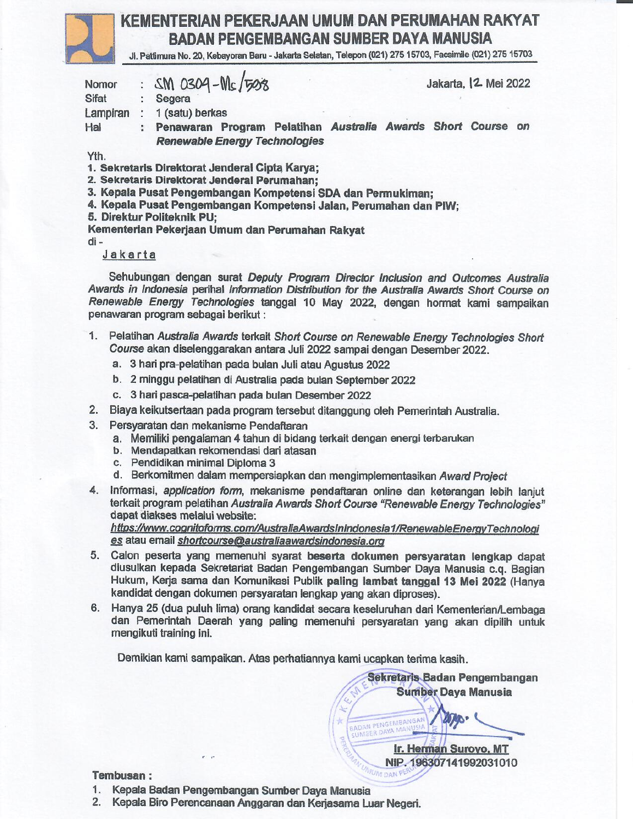

# KEMENTERIAN PEKERJAAN UMUM DAN PERUMAHAN RAKYAT **BADAN PENGEMBANGAN SUMBER DAYA MANUSIA**

Ji. Pattimura No. 20, Kebayoran Baru - Jakarta Selatan, Telepon (021) 275 15703, Facsimile (021) 275 15703

| Nomor                                          |                      | : $SM$ 0304-Ms/508<br>Jakarta,   2 Mei 2022                       |
|------------------------------------------------|----------------------|-------------------------------------------------------------------|
| <b>Sifat</b>                                   | $\ddot{\phantom{0}}$ | Segera                                                            |
| Lampiran                                       |                      | 1 (satu) berkas                                                   |
| Hal                                            | $\ddot{z}$           | Penawaran Program Pelatihan Australia Awards Short Course<br>on   |
|                                                |                      | <b>Renewable Energy Technologies</b>                              |
| Yth.                                           |                      |                                                                   |
| 1. Sekretaris Direktorat Jenderal Cipta Karya; |                      |                                                                   |
|                                                |                      | 2. Sekretaris Direktorat Jenderal Perumahan;                      |
|                                                |                      | 3. Kepala Pusat Pengembangan Kompetensi SDA dan Permukiman;       |
|                                                |                      | 4. Kepala Pusat Pengembangan Kompetensi Jalan, Perumahan dan PIW; |
|                                                |                      | 5. Direktur Politeknik PU;                                        |
|                                                |                      |                                                                   |

Kementerian Pekeriaan Umum dan Perumahan Rakvat

 $di -$ 

#### Jakarta

Sehubungan dengan surat Deputy Program Director Inclusion and Outcomes Australia Awards in Indonesia perihal Information Distribution for the Australia Awards Short Course on Renewable Energy Technologies tanggal 10 May 2022, dengan hormat kami sampaikan penawaran program sebagai berikut:

- 1. Pelatihan Australia Awards terkait Short Course on Renewable Energy Technologies Short Course akan diselenggarakan antara Juli 2022 sampai dengan Desember 2022.
	- a. 3 hari pra-pelatihan pada bulan Juli atau Agustus 2022
	- b. 2 minggu pelatihan di Australia pada bulan September 2022
	- c. 3 hari pasca-pelatihan pada bulan Desember 2022
- 2. Biaya keikutsertaan pada program tersebut ditanggung oleh Pemerintah Australia.
- 3. Persyaratan dan mekanisme Pendaftaran
	- a. Memiliki pengalaman 4 tahun di bidang terkait dengan energi terbarukan
	- b. Mendapatkan rekomendasi dari atasan
	- c. Pendidikan minimal Diploma 3
	- d. Berkomitmen dalam mempersiapkan dan mengimplementasikan Award Project
- Informasi, application form, mekanisme pendaftaran online dan keterangan lebih lanjut 4. terkait program pelatihan Australia Awards Short Course "Renewable Energy Technologies" dapat diakses melalui website:

https://www.cognitoforms.com/AustraliaAwardsInIndonesia1/RenewableEnergyTechnologi es atau email shortcourse@australiaawardsindonesia.org

- 5. Calon peserta yang memenuhi syarat beserta dokumen persyaratan lengkap dapat diusulkan kepada Sekretariat Badan Pengembangan Sumber Daya Manusia c.q. Bagian Hukum, Kerja sama dan Komunikasi Publik paling lambat tanggal 13 Mei 2022 (Hanya kandidat dengan dokumen persyaratan lengkap yang akan diproses).
- 6. Hanya 25 (dua puluh lima) orang kandidat secara keseluruhan dari Kementerian/Lembaga dan Pemerintah Daerah yang paling memenuhi persyaratan yang akan dipilih untuk mengikuti training ini.

Demikian kami sampaikan. Atas perhatiannya kami ucapkan terima kasih.

Sekretaris Badan Pengembangan **Sumber Daya Manusia** 

Ir. Herman Suroyo, MT NIP. 196307141992031010

#### **Tembusan:**

- 1. Kepala Badan Pengembangan Sumber Daya Manusia
- 2. Kepala Biro Perencanaan Anggaran dan Kerjasama Luar Negeri.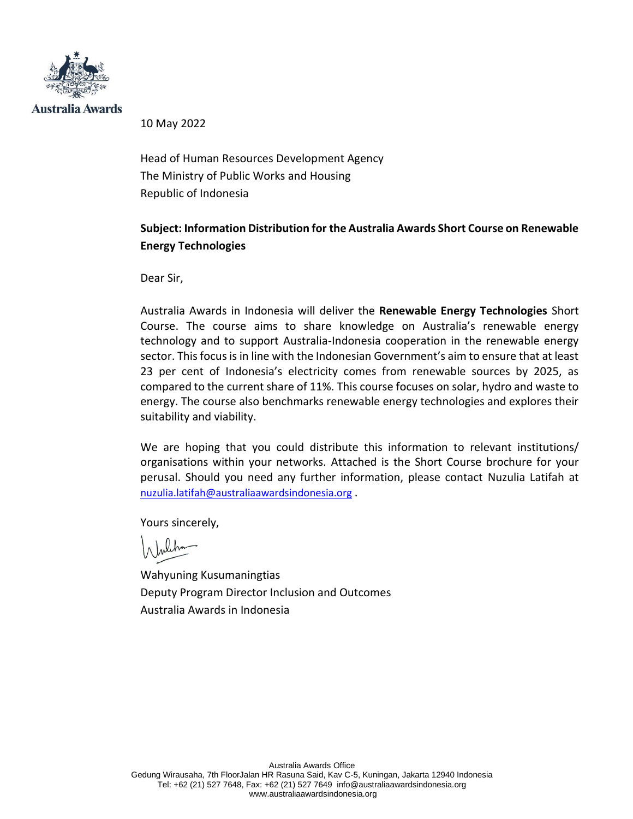

Australia Awards

10 May 2022

Head of Human Resources Development Agency The Ministry of Public Works and Housing Republic of Indonesia

## **Subject: Information Distribution for the Australia Awards Short Course on Renewable Energy Technologies**

Dear Sir,

Australia Awards in Indonesia will deliver the **Renewable Energy Technologies** Short Course. The course aims to share knowledge on Australia's renewable energy technology and to support Australia-Indonesia cooperation in the renewable energy sector. This focus is in line with the Indonesian Government's aim to ensure that at least 23 per cent of Indonesia's electricity comes from renewable sources by 2025, as compared to the current share of 11%. This course focuses on solar, hydro and waste to energy. The course also benchmarks renewable energy technologies and explores their suitability and viability.

We are hoping that you could distribute this information to relevant institutions/ organisations within your networks. Attached is the Short Course brochure for your perusal. Should you need any further information, please contact Nuzulia Latifah at [nuzulia.latifah@australiaawardsindonesia.org](mailto:nuzulia.latifah@australiaawardsindonesia.org) .

Yours sincerely,

Wahyuning Kusumaningtias Deputy Program Director Inclusion and Outcomes Australia Awards in Indonesia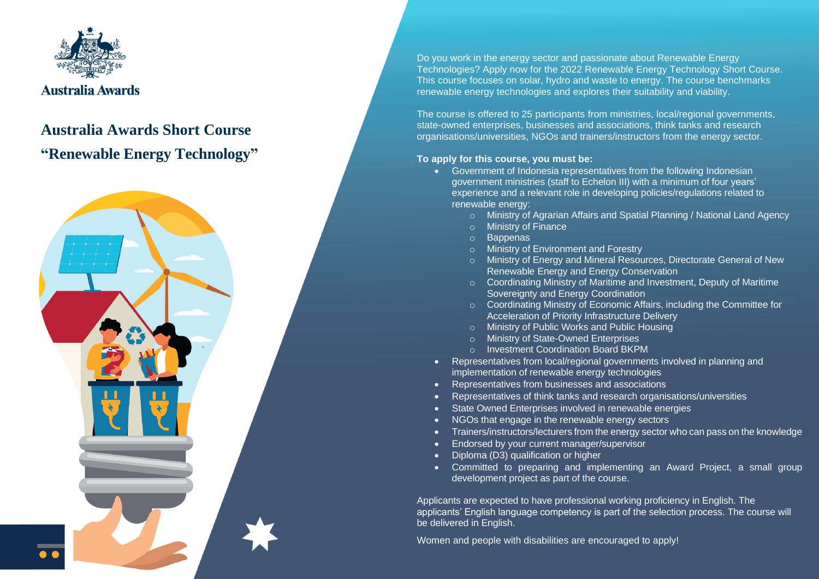

# **Australia Awards Short Course "Renewable Energy Technology"**



Do you work in the energy sector and passionate about Renewable Energy Technologies? Apply now for the 2022 Renewable Energy Technology Short Course. This course focuses on solar, hydro and waste to energy. The course benchmarks renewable energy technologies and explores their suitability and viability.

The course is offered to 25 participants from ministries, local/regional governments, state-owned enterprises, businesses and associations, think tanks and research organisations/universities, NGOs and trainers/instructors from the energy sector.

### **To apply for this course, you must be:**

- Government of Indonesia representatives from the following Indonesian government ministries (staff to Echelon III) with a minimum of four years' experience and a relevant role in developing policies/regulations related to renewable energy:
	- o Ministry of Agrarian Affairs and Spatial Planning / National Land Agency
	- o Ministry of Finance
	- o Bappenas
	- o Ministry of Environment and Forestry
	- o Ministry of Energy and Mineral Resources, Directorate General of New Renewable Energy and Energy Conservation
	- o Coordinating Ministry of Maritime and Investment, Deputy of Maritime Sovereignty and Energy Coordination
	- o Coordinating Ministry of Economic Affairs, including the Committee for Acceleration of Priority Infrastructure Delivery
	- o Ministry of Public Works and Public Housing
	- o Ministry of State-Owned Enterprises
	- o Investment Coordination Board BKPM
- Representatives from local/regional governments involved in planning and implementation of renewable energy technologies
- Representatives from businesses and associations
- Representatives of think tanks and research organisations/universities
- State Owned Enterprises involved in renewable energies
- NGOs that engage in the renewable energy sectors
- Trainers/instructors/lecturers from the energy sector who can pass on the knowledge
- Endorsed by your current manager/supervisor
- Diploma (D3) qualification or higher
- Committed to preparing and implementing an Award Project, a small group development project as part of the course.

Applicants are expected to have professional working proficiency in English. The applicants' English language competency is part of the selection process. The course will be delivered in English.

Women and people with disabilities are encouraged to apply!